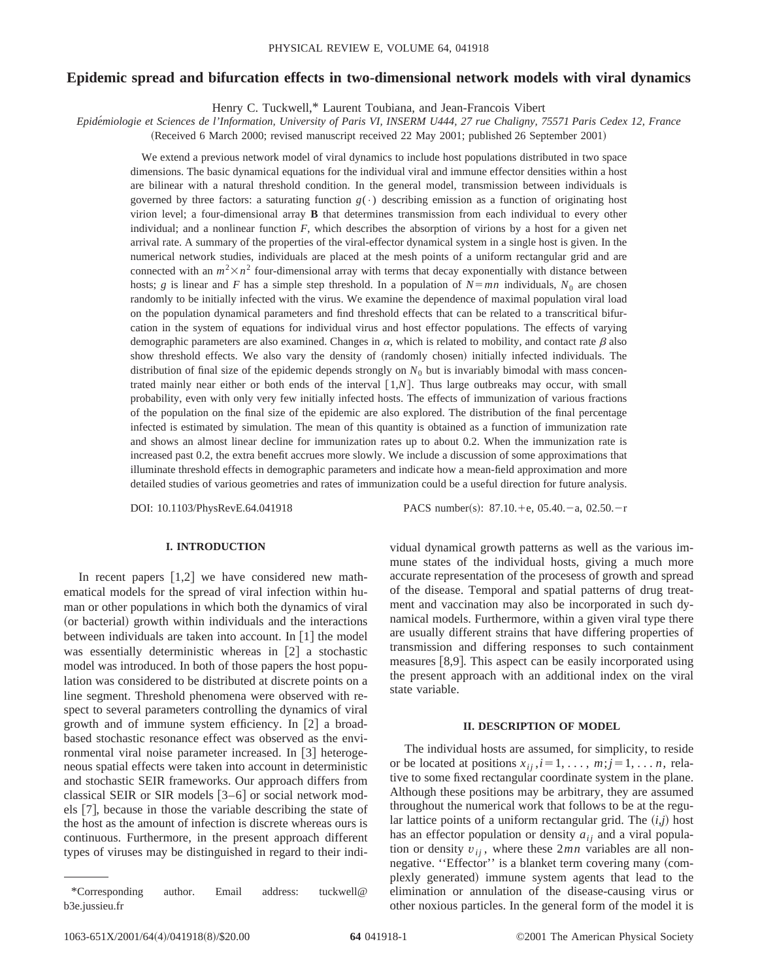# **Epidemic spread and bifurcation effects in two-dimensional network models with viral dynamics**

Henry C. Tuckwell,\* Laurent Toubiana, and Jean-Francois Vibert

*Epide´miologie et Sciences de l'Information, University of Paris VI, INSERM U444, 27 rue Chaligny, 75571 Paris Cedex 12, France*

(Received 6 March 2000; revised manuscript received 22 May 2001; published 26 September 2001)

We extend a previous network model of viral dynamics to include host populations distributed in two space dimensions. The basic dynamical equations for the individual viral and immune effector densities within a host are bilinear with a natural threshold condition. In the general model, transmission between individuals is governed by three factors: a saturating function  $g(\cdot)$  describing emission as a function of originating host virion level; a four-dimensional array **B** that determines transmission from each individual to every other individual; and a nonlinear function *F*, which describes the absorption of virions by a host for a given net arrival rate. A summary of the properties of the viral-effector dynamical system in a single host is given. In the numerical network studies, individuals are placed at the mesh points of a uniform rectangular grid and are connected with an  $m^2 \times n^2$  four-dimensional array with terms that decay exponentially with distance between hosts; *g* is linear and *F* has a simple step threshold. In a population of  $N = mn$  individuals,  $N_0$  are chosen randomly to be initially infected with the virus. We examine the dependence of maximal population viral load on the population dynamical parameters and find threshold effects that can be related to a transcritical bifurcation in the system of equations for individual virus and host effector populations. The effects of varying demographic parameters are also examined. Changes in  $\alpha$ , which is related to mobility, and contact rate  $\beta$  also show threshold effects. We also vary the density of (randomly chosen) initially infected individuals. The distribution of final size of the epidemic depends strongly on  $N_0$  but is invariably bimodal with mass concentrated mainly near either or both ends of the interval  $[1,N]$ . Thus large outbreaks may occur, with small probability, even with only very few initially infected hosts. The effects of immunization of various fractions of the population on the final size of the epidemic are also explored. The distribution of the final percentage infected is estimated by simulation. The mean of this quantity is obtained as a function of immunization rate and shows an almost linear decline for immunization rates up to about 0.2. When the immunization rate is increased past 0.2, the extra benefit accrues more slowly. We include a discussion of some approximations that illuminate threshold effects in demographic parameters and indicate how a mean-field approximation and more detailed studies of various geometries and rates of immunization could be a useful direction for future analysis.

DOI: 10.1103/PhysRevE.64.041918 PACS number(s): 87.10.+e, 05.40.-a, 02.50.-r

# **I. INTRODUCTION**

In recent papers  $[1,2]$  we have considered new mathematical models for the spread of viral infection within human or other populations in which both the dynamics of viral (or bacterial) growth within individuals and the interactions between individuals are taken into account. In  $[1]$  the model was essentially deterministic whereas in  $[2]$  a stochastic model was introduced. In both of those papers the host population was considered to be distributed at discrete points on a line segment. Threshold phenomena were observed with respect to several parameters controlling the dynamics of viral growth and of immune system efficiency. In  $[2]$  a broadbased stochastic resonance effect was observed as the environmental viral noise parameter increased. In  $\lceil 3 \rceil$  heterogeneous spatial effects were taken into account in deterministic and stochastic SEIR frameworks. Our approach differs from classical SEIR or SIR models  $[3-6]$  or social network models  $[7]$ , because in those the variable describing the state of the host as the amount of infection is discrete whereas ours is continuous. Furthermore, in the present approach different types of viruses may be distinguished in regard to their individual dynamical growth patterns as well as the various immune states of the individual hosts, giving a much more accurate representation of the procesess of growth and spread of the disease. Temporal and spatial patterns of drug treatment and vaccination may also be incorporated in such dynamical models. Furthermore, within a given viral type there are usually different strains that have differing properties of transmission and differing responses to such containment measures  $[8,9]$ . This aspect can be easily incorporated using the present approach with an additional index on the viral state variable.

## **II. DESCRIPTION OF MODEL**

The individual hosts are assumed, for simplicity, to reside or be located at positions  $x_{ij}$ ,  $i=1, \ldots, m; j=1, \ldots n$ , relative to some fixed rectangular coordinate system in the plane. Although these positions may be arbitrary, they are assumed throughout the numerical work that follows to be at the regular lattice points of a uniform rectangular grid. The  $(i, j)$  host has an effector population or density  $a_{ij}$  and a viral population or density  $v_{ii}$ , where these  $2mn$  variables are all nonnegative. "Effector" is a blanket term covering many (complexly generated) immune system agents that lead to the elimination or annulation of the disease-causing virus or other noxious particles. In the general form of the model it is

<sup>\*</sup>Corresponding author. Email address: tuckwell@ b3e.jussieu.fr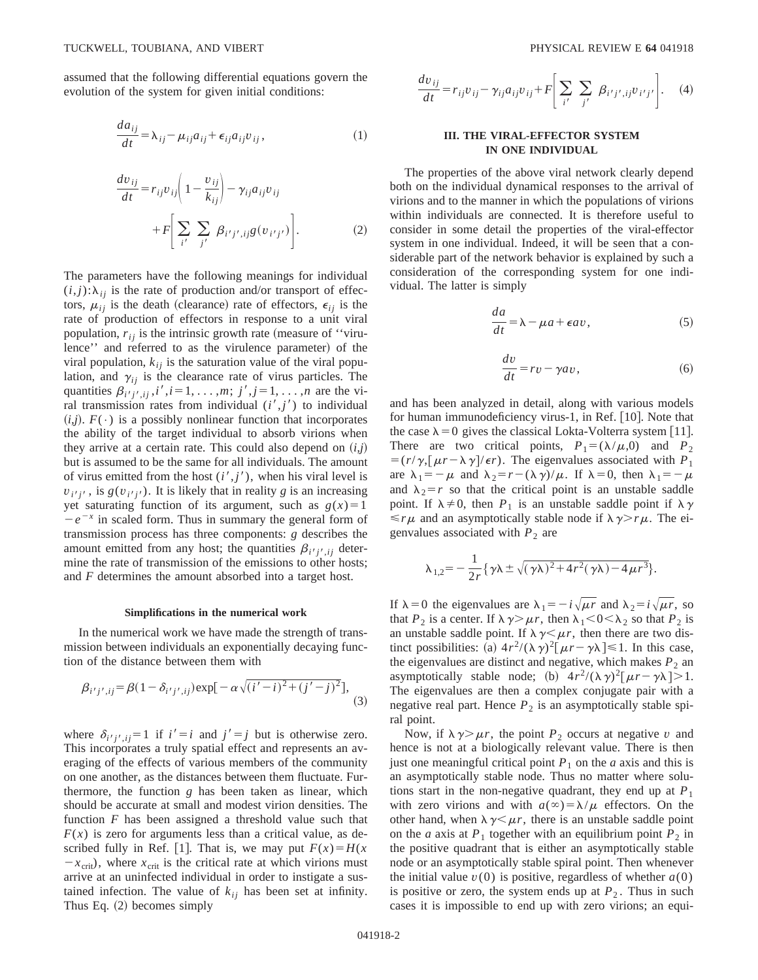assumed that the following differential equations govern the evolution of the system for given initial conditions:

$$
\frac{da_{ij}}{dt} = \lambda_{ij} - \mu_{ij}a_{ij} + \epsilon_{ij}a_{ij}v_{ij},
$$
\n(1)

$$
\frac{dv_{ij}}{dt} = r_{ij}v_{ij} \left( 1 - \frac{v_{ij}}{k_{ij}} \right) - \gamma_{ij}a_{ij}v_{ij}
$$

$$
+ F \left[ \sum_{i'} \sum_{j'} \beta_{i'j',ij} g(v_{i'j'}) \right].
$$
 (2)

The parameters have the following meanings for individual  $(i,j)$ : $\lambda_{ij}$  is the rate of production and/or transport of effectors,  $\mu_{ij}$  is the death (clearance) rate of effectors,  $\epsilon_{ij}$  is the rate of production of effectors in response to a unit viral population,  $r_{ij}$  is the intrinsic growth rate (measure of "virulence'' and referred to as the virulence parameter) of the viral population,  $k_{ij}$  is the saturation value of the viral population, and  $\gamma_{ij}$  is the clearance rate of virus particles. The quantities  $\beta_{i'j',i,j}, i', i = 1, ..., m; j', j = 1, ..., n$  are the viral transmission rates from individual  $(i', j')$  to individual  $(i,j)$ .  $F(\cdot)$  is a possibly nonlinear function that incorporates the ability of the target individual to absorb virions when they arrive at a certain rate. This could also depend on  $(i, j)$ but is assumed to be the same for all individuals. The amount of virus emitted from the host  $(i', j')$ , when his viral level is  $v_i v_j$ , is  $g(v_i v_j)$ . It is likely that in reality *g* is an increasing yet saturating function of its argument, such as  $g(x)=1$  $-e^{-x}$  in scaled form. Thus in summary the general form of transmission process has three components: *g* describes the amount emitted from any host; the quantities  $\beta_{i'j',ij}$  determine the rate of transmission of the emissions to other hosts; and *F* determines the amount absorbed into a target host.

#### **Simplifications in the numerical work**

In the numerical work we have made the strength of transmission between individuals an exponentially decaying function of the distance between them with

$$
\beta_{i'j',ij} = \beta(1 - \delta_{i'j',ij}) \exp[-\alpha\sqrt{(i'-i)^2 + (j'-j)^2}],
$$
\n(3)

where  $\delta_{i'j',ji} = 1$  if  $i' = i$  and  $j' = j$  but is otherwise zero. This incorporates a truly spatial effect and represents an averaging of the effects of various members of the community on one another, as the distances between them fluctuate. Furthermore, the function *g* has been taken as linear, which should be accurate at small and modest virion densities. The function *F* has been assigned a threshold value such that  $F(x)$  is zero for arguments less than a critical value, as described fully in Ref. [1]. That is, we may put  $F(x) = H(x)$  $-x<sub>crit</sub>$ , where  $x<sub>crit</sub>$  is the critical rate at which virions must arrive at an uninfected individual in order to instigate a sustained infection. The value of  $k_{ij}$  has been set at infinity. Thus Eq.  $(2)$  becomes simply

$$
\frac{dv_{ij}}{dt} = r_{ij}v_{ij} - \gamma_{ij}a_{ij}v_{ij} + F\left[\sum_{i'} \sum_{j'} \beta_{i'j',ij}v_{i'j'}\right].
$$
 (4)

# **III. THE VIRAL-EFFECTOR SYSTEM IN ONE INDIVIDUAL**

The properties of the above viral network clearly depend both on the individual dynamical responses to the arrival of virions and to the manner in which the populations of virions within individuals are connected. It is therefore useful to consider in some detail the properties of the viral-effector system in one individual. Indeed, it will be seen that a considerable part of the network behavior is explained by such a consideration of the corresponding system for one individual. The latter is simply

$$
\frac{da}{dt} = \lambda - \mu a + \epsilon a v,\tag{5}
$$

$$
\frac{dv}{dt} = rv - \gamma av,\tag{6}
$$

and has been analyzed in detail, along with various models for human immunodeficiency virus-1, in Ref.  $[10]$ . Note that the case  $\lambda = 0$  gives the classical Lokta-Volterra system [11]. There are two critical points,  $P_1 = (\lambda/\mu, 0)$  and  $P_2$  $=$  $(r/\gamma, [\mu r - \lambda \gamma]/\epsilon r)$ . The eigenvalues associated with *P*<sub>1</sub> are  $\lambda_1 = -\mu$  and  $\lambda_2 = r - (\lambda \gamma)/\mu$ . If  $\lambda = 0$ , then  $\lambda_1 = -\mu$ and  $\lambda_2 = r$  so that the critical point is an unstable saddle point. If  $\lambda \neq 0$ , then  $P_1$  is an unstable saddle point if  $\lambda \gamma$  $\leq r\mu$  and an asymptotically stable node if  $\lambda \gamma > r\mu$ . The eigenvalues associated with  $P_2$  are

$$
\lambda_{1,2} = -\frac{1}{2r} \{ \gamma \lambda \pm \sqrt{(\gamma \lambda)^2 + 4r^2 (\gamma \lambda) - 4\mu r^3} \}.
$$

If  $\lambda = 0$  the eigenvalues are  $\lambda_1 = -i\sqrt{\mu r}$  and  $\lambda_2 = i\sqrt{\mu r}$ , so that  $P_2$  is a center. If  $\lambda \gamma > \mu r$ , then  $\lambda_1 < 0 < \lambda_2$  so that  $P_2$  is an unstable saddle point. If  $\lambda \gamma \leq \mu r$ , then there are two distinct possibilities: (a)  $4r^2/(\lambda \gamma)^2[\mu r - \gamma \lambda] \le 1$ . In this case, the eigenvalues are distinct and negative, which makes  $P_2$  and asymptotically stable node; (b)  $4r^2/(\lambda \gamma)^2[\mu r - \gamma \lambda] > 1$ . The eigenvalues are then a complex conjugate pair with a negative real part. Hence  $P_2$  is an asymptotically stable spiral point.

Now, if  $\lambda \gamma > \mu r$ , the point *P*<sub>2</sub> occurs at negative *v* and hence is not at a biologically relevant value. There is then just one meaningful critical point  $P_1$  on the *a* axis and this is an asymptotically stable node. Thus no matter where solutions start in the non-negative quadrant, they end up at  $P_1$ with zero virions and with  $a(\infty) = \lambda/\mu$  effectors. On the other hand, when  $\lambda \gamma \leq \mu r$ , there is an unstable saddle point on the *a* axis at  $P_1$  together with an equilibrium point  $P_2$  in the positive quadrant that is either an asymptotically stable node or an asymptotically stable spiral point. Then whenever the initial value  $v(0)$  is positive, regardless of whether  $a(0)$ is positive or zero, the system ends up at  $P_2$ . Thus in such cases it is impossible to end up with zero virions; an equi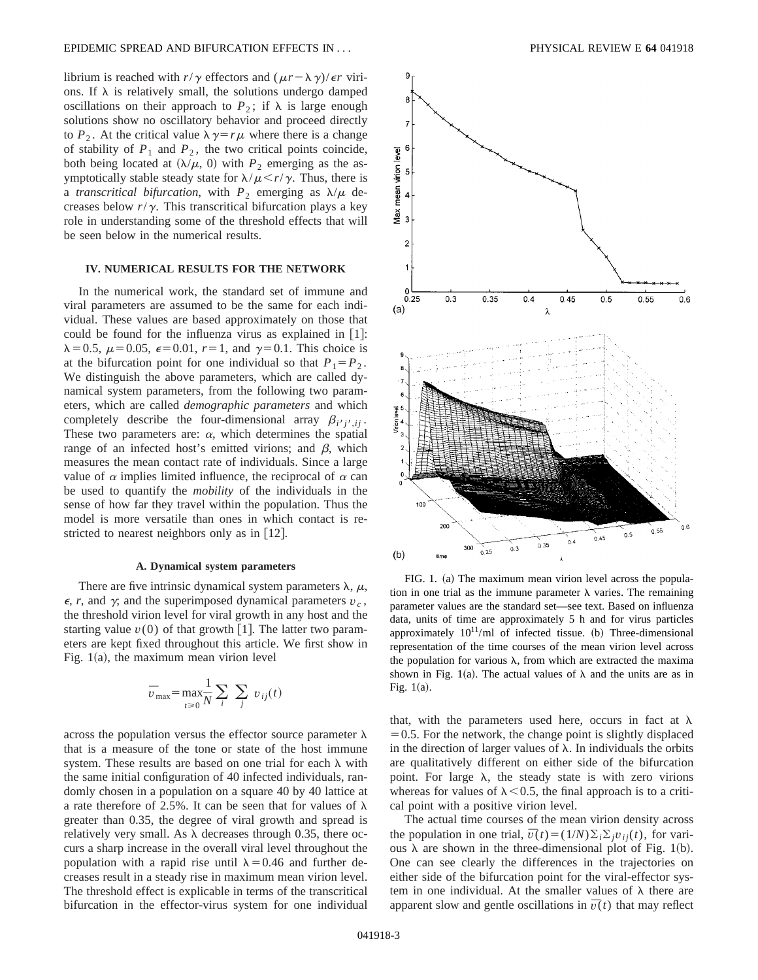librium is reached with  $r/\gamma$  effectors and  $(\mu r - \lambda \gamma)/\epsilon r$  virions. If  $\lambda$  is relatively small, the solutions undergo damped oscillations on their approach to  $P_2$ ; if  $\lambda$  is large enough solutions show no oscillatory behavior and proceed directly to  $P_2$ . At the critical value  $\lambda \gamma = r\mu$  where there is a change of stability of  $P_1$  and  $P_2$ , the two critical points coincide, both being located at  $(\lambda/\mu, 0)$  with  $P_2$  emerging as the asymptotically stable steady state for  $\lambda/\mu \le r/\gamma$ . Thus, there is a *transcritical bifurcation*, with  $P_2$  emerging as  $\lambda/\mu$  decreases below  $r/\gamma$ . This transcritical bifurcation plays a key role in understanding some of the threshold effects that will be seen below in the numerical results.

## **IV. NUMERICAL RESULTS FOR THE NETWORK**

In the numerical work, the standard set of immune and viral parameters are assumed to be the same for each individual. These values are based approximately on those that could be found for the influenza virus as explained in  $[1]$ :  $\lambda = 0.5$ ,  $\mu = 0.05$ ,  $\epsilon = 0.01$ ,  $r = 1$ , and  $\gamma = 0.1$ . This choice is at the bifurcation point for one individual so that  $P_1 = P_2$ . We distinguish the above parameters, which are called dynamical system parameters, from the following two parameters, which are called *demographic parameters* and which completely describe the four-dimensional array  $\beta_{i'j'}$ , These two parameters are:  $\alpha$ , which determines the spatial range of an infected host's emitted virions; and  $\beta$ , which measures the mean contact rate of individuals. Since a large value of  $\alpha$  implies limited influence, the reciprocal of  $\alpha$  can be used to quantify the *mobility* of the individuals in the sense of how far they travel within the population. Thus the model is more versatile than ones in which contact is restricted to nearest neighbors only as in  $[12]$ .

# **A. Dynamical system parameters**

There are five intrinsic dynamical system parameters  $\lambda$ ,  $\mu$ ,  $\epsilon$ , *r*, and  $\gamma$ ; and the superimposed dynamical parameters  $v_c$ , the threshold virion level for viral growth in any host and the starting value  $v(0)$  of that growth  $|1|$ . The latter two parameters are kept fixed throughout this article. We first show in Fig.  $1(a)$ , the maximum mean virion level

$$
\bar{v}_{\text{max}} = \max_{t \ge 0} \frac{1}{N} \sum_{i} \sum_{j} v_{ij}(t)
$$

across the population versus the effector source parameter  $\lambda$ that is a measure of the tone or state of the host immune system. These results are based on one trial for each  $\lambda$  with the same initial configuration of 40 infected individuals, randomly chosen in a population on a square 40 by 40 lattice at a rate therefore of 2.5%. It can be seen that for values of  $\lambda$ greater than 0.35, the degree of viral growth and spread is relatively very small. As  $\lambda$  decreases through 0.35, there occurs a sharp increase in the overall viral level throughout the population with a rapid rise until  $\lambda$ =0.46 and further decreases result in a steady rise in maximum mean virion level. The threshold effect is explicable in terms of the transcritical bifurcation in the effector-virus system for one individual



FIG. 1. (a) The maximum mean virion level across the population in one trial as the immune parameter  $\lambda$  varies. The remaining parameter values are the standard set—see text. Based on influenza data, units of time are approximately 5 h and for virus particles approximately  $10^{11}$ /ml of infected tissue. (b) Three-dimensional representation of the time courses of the mean virion level across the population for various  $\lambda$ , from which are extracted the maxima shown in Fig. 1(a). The actual values of  $\lambda$  and the units are as in Fig.  $1(a)$ .

that, with the parameters used here, occurs in fact at  $\lambda$  $=0.5$ . For the network, the change point is slightly displaced in the direction of larger values of  $\lambda$ . In individuals the orbits are qualitatively different on either side of the bifurcation point. For large  $\lambda$ , the steady state is with zero virions whereas for values of  $\lambda$ <0.5, the final approach is to a critical point with a positive virion level.

The actual time courses of the mean virion density across the population in one trial,  $\bar{v}(t)=(1/N)\sum_{i}\sum_{i}v_{i}(t)$ , for various  $\lambda$  are shown in the three-dimensional plot of Fig. 1(b). One can see clearly the differences in the trajectories on either side of the bifurcation point for the viral-effector system in one individual. At the smaller values of  $\lambda$  there are apparent slow and gentle oscillations in  $\bar{v}(t)$  that may reflect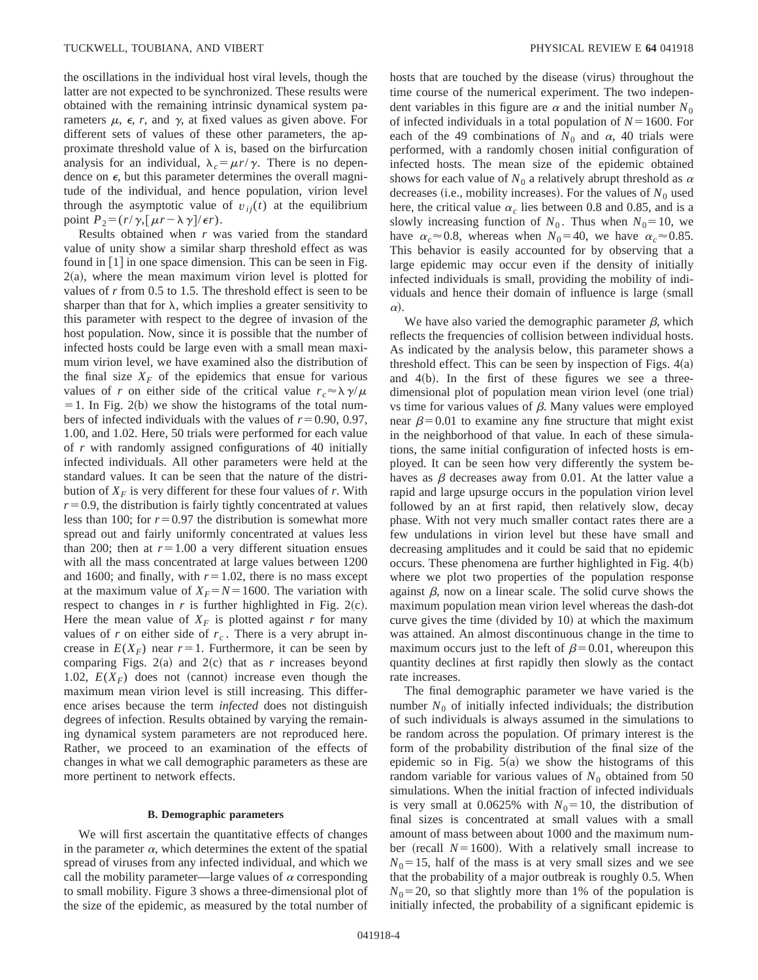the oscillations in the individual host viral levels, though the latter are not expected to be synchronized. These results were obtained with the remaining intrinsic dynamical system parameters  $\mu$ ,  $\epsilon$ , r, and  $\gamma$ , at fixed values as given above. For different sets of values of these other parameters, the approximate threshold value of  $\lambda$  is, based on the birfurcation analysis for an individual,  $\lambda_c = \mu r / \gamma$ . There is no dependence on  $\epsilon$ , but this parameter determines the overall magnitude of the individual, and hence population, virion level through the asymptotic value of  $v_{i}(t)$  at the equilibrium point  $P_2 = (r/\gamma \sqrt{\mu r - \lambda \gamma})/\epsilon r$ .

Results obtained when *r* was varied from the standard value of unity show a similar sharp threshold effect as was found in  $[1]$  in one space dimension. This can be seen in Fig.  $2(a)$ , where the mean maximum virion level is plotted for values of *r* from 0.5 to 1.5. The threshold effect is seen to be sharper than that for  $\lambda$ , which implies a greater sensitivity to this parameter with respect to the degree of invasion of the host population. Now, since it is possible that the number of infected hosts could be large even with a small mean maximum virion level, we have examined also the distribution of the final size  $X_F$  of the epidemics that ensue for various values of *r* on either side of the critical value  $r_c \approx \lambda \gamma/\mu$  $=$  1. In Fig. 2(b) we show the histograms of the total numbers of infected individuals with the values of  $r=0.90, 0.97$ , 1.00, and 1.02. Here, 50 trials were performed for each value of *r* with randomly assigned configurations of 40 initially infected individuals. All other parameters were held at the standard values. It can be seen that the nature of the distribution of  $X_F$  is very different for these four values of *r*. With  $r=0.9$ , the distribution is fairly tightly concentrated at values less than 100; for  $r=0.97$  the distribution is somewhat more spread out and fairly uniformly concentrated at values less than 200; then at  $r=1.00$  a very different situation ensues with all the mass concentrated at large values between 1200 and 1600; and finally, with  $r=1.02$ , there is no mass except at the maximum value of  $X_F = N = 1600$ . The variation with respect to changes in  $r$  is further highlighted in Fig. 2(c). Here the mean value of  $X_F$  is plotted against *r* for many values of *r* on either side of  $r_c$ . There is a very abrupt increase in  $E(X_F)$  near  $r=1$ . Furthermore, it can be seen by comparing Figs.  $2(a)$  and  $2(c)$  that as *r* increases beyond 1.02,  $E(X_F)$  does not (cannot) increase even though the maximum mean virion level is still increasing. This difference arises because the term *infected* does not distinguish degrees of infection. Results obtained by varying the remaining dynamical system parameters are not reproduced here. Rather, we proceed to an examination of the effects of changes in what we call demographic parameters as these are more pertinent to network effects.

#### **B. Demographic parameters**

We will first ascertain the quantitative effects of changes in the parameter  $\alpha$ , which determines the extent of the spatial spread of viruses from any infected individual, and which we call the mobility parameter—large values of  $\alpha$  corresponding to small mobility. Figure 3 shows a three-dimensional plot of the size of the epidemic, as measured by the total number of hosts that are touched by the disease (virus) throughout the time course of the numerical experiment. The two independent variables in this figure are  $\alpha$  and the initial number  $N_0$ of infected individuals in a total population of  $N = 1600$ . For each of the 49 combinations of  $N_0$  and  $\alpha$ , 40 trials were performed, with a randomly chosen initial configuration of infected hosts. The mean size of the epidemic obtained shows for each value of  $N_0$  a relatively abrupt threshold as  $\alpha$ decreases (i.e., mobility increases). For the values of  $N_0$  used here, the critical value  $\alpha_c$  lies between 0.8 and 0.85, and is a slowly increasing function of  $N_0$ . Thus when  $N_0 = 10$ , we have  $\alpha_c \approx 0.8$ , whereas when  $N_0 = 40$ , we have  $\alpha_c \approx 0.85$ . This behavior is easily accounted for by observing that a large epidemic may occur even if the density of initially infected individuals is small, providing the mobility of individuals and hence their domain of influence is large (small  $\alpha$ ).

We have also varied the demographic parameter  $\beta$ , which reflects the frequencies of collision between individual hosts. As indicated by the analysis below, this parameter shows a threshold effect. This can be seen by inspection of Figs.  $4(a)$ and  $4(b)$ . In the first of these figures we see a threedimensional plot of population mean virion level (one trial) vs time for various values of  $\beta$ . Many values were employed near  $\beta$ =0.01 to examine any fine structure that might exist in the neighborhood of that value. In each of these simulations, the same initial configuration of infected hosts is employed. It can be seen how very differently the system behaves as  $\beta$  decreases away from 0.01. At the latter value a rapid and large upsurge occurs in the population virion level followed by an at first rapid, then relatively slow, decay phase. With not very much smaller contact rates there are a few undulations in virion level but these have small and decreasing amplitudes and it could be said that no epidemic occurs. These phenomena are further highlighted in Fig.  $4(b)$ where we plot two properties of the population response against  $\beta$ , now on a linear scale. The solid curve shows the maximum population mean virion level whereas the dash-dot curve gives the time (divided by  $10$ ) at which the maximum was attained. An almost discontinuous change in the time to maximum occurs just to the left of  $\beta$ =0.01, whereupon this quantity declines at first rapidly then slowly as the contact rate increases.

The final demographic parameter we have varied is the number  $N_0$  of initially infected individuals; the distribution of such individuals is always assumed in the simulations to be random across the population. Of primary interest is the form of the probability distribution of the final size of the epidemic so in Fig.  $5(a)$  we show the histograms of this random variable for various values of  $N_0$  obtained from 50 simulations. When the initial fraction of infected individuals is very small at 0.0625% with  $N_0 = 10$ , the distribution of final sizes is concentrated at small values with a small amount of mass between about 1000 and the maximum number (recall  $N=1600$ ). With a relatively small increase to  $N_0$ =15, half of the mass is at very small sizes and we see that the probability of a major outbreak is roughly 0.5. When  $N_0$ =20, so that slightly more than 1% of the population is initially infected, the probability of a significant epidemic is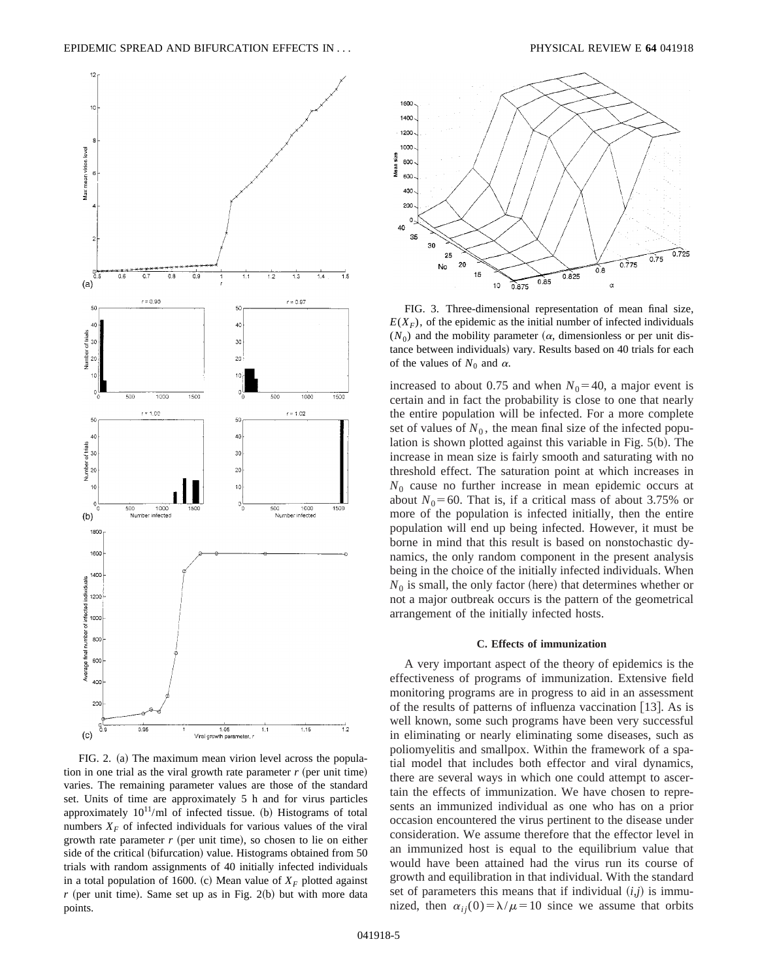

FIG. 2. (a) The maximum mean virion level across the population in one trial as the viral growth rate parameter  $r$  (per unit time) varies. The remaining parameter values are those of the standard set. Units of time are approximately 5 h and for virus particles approximately  $10^{11}$ /ml of infected tissue. (b) Histograms of total numbers  $X_F$  of infected individuals for various values of the viral growth rate parameter  $r$  (per unit time), so chosen to lie on either side of the critical (bifurcation) value. Histograms obtained from  $50$ trials with random assignments of 40 initially infected individuals in a total population of 1600. (c) Mean value of  $X_F$  plotted against  $r$  (per unit time). Same set up as in Fig. 2(b) but with more data points.



FIG. 3. Three-dimensional representation of mean final size,  $E(X_F)$ , of the epidemic as the initial number of infected individuals  $(N_0)$  and the mobility parameter  $(\alpha,$  dimensionless or per unit distance between individuals) vary. Results based on 40 trials for each of the values of  $N_0$  and  $\alpha$ .

increased to about 0.75 and when  $N_0$ =40, a major event is certain and in fact the probability is close to one that nearly the entire population will be infected. For a more complete set of values of  $N_0$ , the mean final size of the infected population is shown plotted against this variable in Fig.  $5(b)$ . The increase in mean size is fairly smooth and saturating with no threshold effect. The saturation point at which increases in *N*<sup>0</sup> cause no further increase in mean epidemic occurs at about  $N_0$ =60. That is, if a critical mass of about 3.75% or more of the population is infected initially, then the entire population will end up being infected. However, it must be borne in mind that this result is based on nonstochastic dynamics, the only random component in the present analysis being in the choice of the initially infected individuals. When  $N_0$  is small, the only factor (here) that determines whether or not a major outbreak occurs is the pattern of the geometrical arrangement of the initially infected hosts.

### **C. Effects of immunization**

A very important aspect of the theory of epidemics is the effectiveness of programs of immunization. Extensive field monitoring programs are in progress to aid in an assessment of the results of patterns of influenza vaccination  $[13]$ . As is well known, some such programs have been very successful in eliminating or nearly eliminating some diseases, such as poliomyelitis and smallpox. Within the framework of a spatial model that includes both effector and viral dynamics, there are several ways in which one could attempt to ascertain the effects of immunization. We have chosen to represents an immunized individual as one who has on a prior occasion encountered the virus pertinent to the disease under consideration. We assume therefore that the effector level in an immunized host is equal to the equilibrium value that would have been attained had the virus run its course of growth and equilibration in that individual. With the standard set of parameters this means that if individual  $(i,j)$  is immunized, then  $\alpha_{ij}(0) = \lambda/\mu = 10$  since we assume that orbits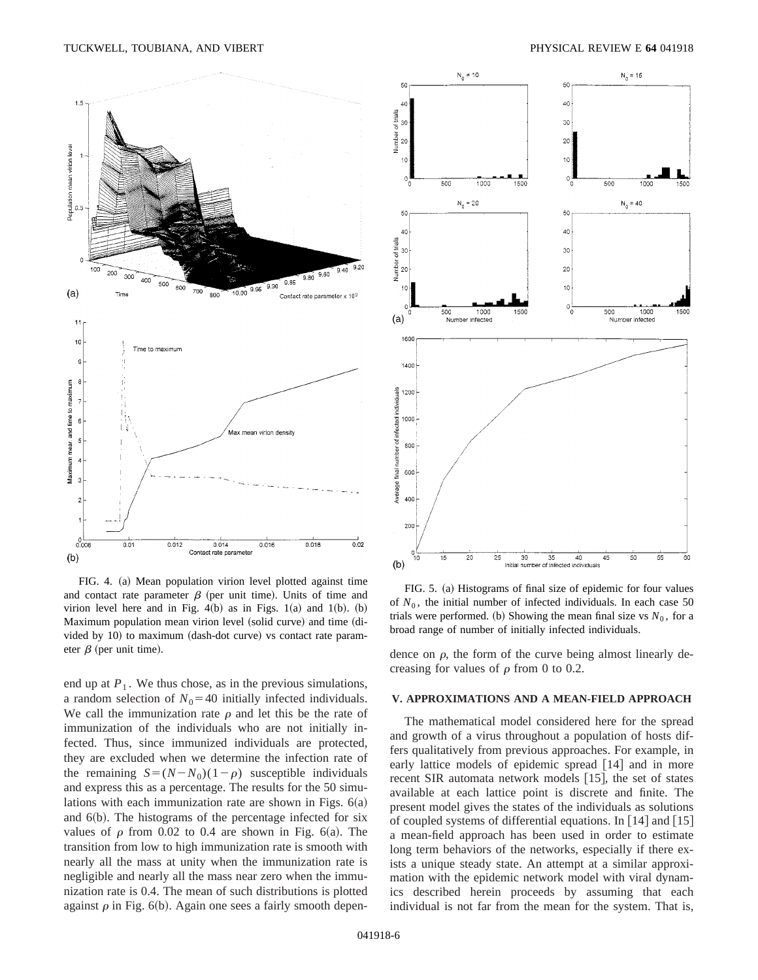

FIG. 4. (a) Mean population virion level plotted against time and contact rate parameter  $\beta$  (per unit time). Units of time and virion level here and in Fig.  $4(b)$  as in Figs. 1(a) and 1(b). (b) Maximum population mean virion level (solid curve) and time (divided by  $10$ ) to maximum (dash-dot curve) vs contact rate parameter  $\beta$  (per unit time).

end up at  $P_1$ . We thus chose, as in the previous simulations, a random selection of  $N_0$ =40 initially infected individuals. We call the immunization rate  $\rho$  and let this be the rate of immunization of the individuals who are not initially infected. Thus, since immunized individuals are protected, they are excluded when we determine the infection rate of the remaining  $S = (N - N_0)(1 - \rho)$  susceptible individuals and express this as a percentage. The results for the 50 simulations with each immunization rate are shown in Figs.  $6(a)$ and  $6(b)$ . The histograms of the percentage infected for six values of  $\rho$  from 0.02 to 0.4 are shown in Fig. 6(a). The transition from low to high immunization rate is smooth with nearly all the mass at unity when the immunization rate is negligible and nearly all the mass near zero when the immunization rate is 0.4. The mean of such distributions is plotted against  $\rho$  in Fig. 6(b). Again one sees a fairly smooth depen-



FIG. 5. (a) Histograms of final size of epidemic for four values of  $N_0$ , the initial number of infected individuals. In each case 50 trials were performed. (b) Showing the mean final size vs  $N_0$ , for a broad range of number of initially infected individuals.

dence on  $\rho$ , the form of the curve being almost linearly decreasing for values of  $\rho$  from 0 to 0.2.

#### **V. APPROXIMATIONS AND A MEAN-FIELD APPROACH**

The mathematical model considered here for the spread and growth of a virus throughout a population of hosts differs qualitatively from previous approaches. For example, in early lattice models of epidemic spread  $[14]$  and in more recent SIR automata network models  $[15]$ , the set of states available at each lattice point is discrete and finite. The present model gives the states of the individuals as solutions of coupled systems of differential equations. In  $[14]$  and  $[15]$ a mean-field approach has been used in order to estimate long term behaviors of the networks, especially if there exists a unique steady state. An attempt at a similar approximation with the epidemic network model with viral dynamics described herein proceeds by assuming that each individual is not far from the mean for the system. That is,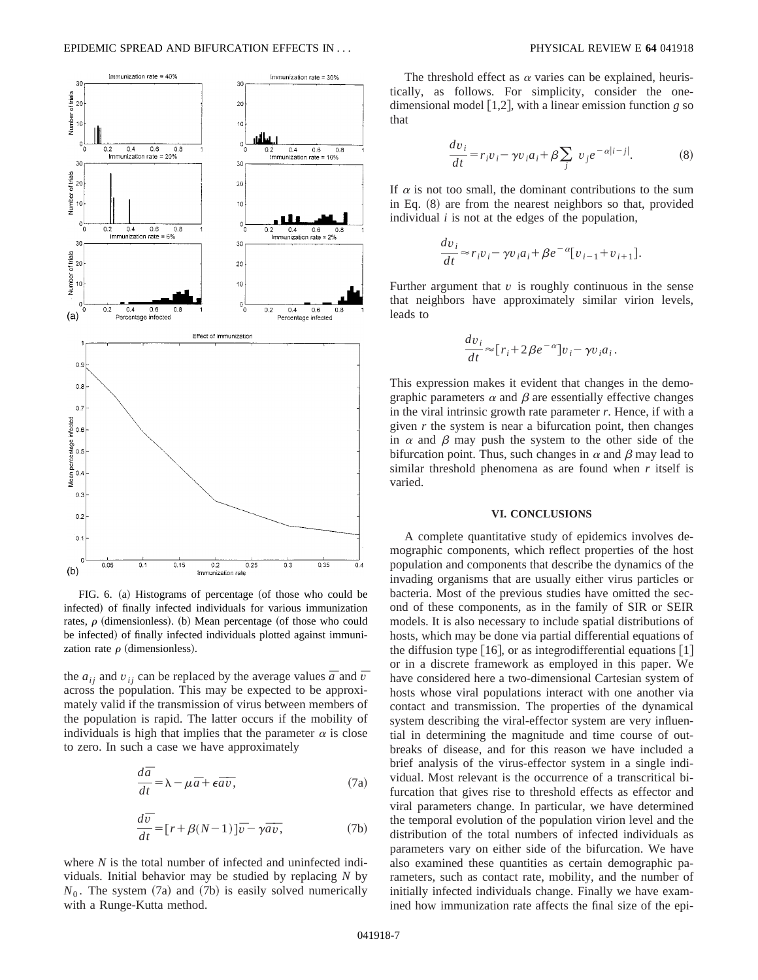![](_page_6_Figure_1.jpeg)

FIG.  $6.$  (a) Histograms of percentage (of those who could be infected) of finally infected individuals for various immunization rates,  $\rho$  (dimensionless). (b) Mean percentage (of those who could be infected) of finally infected individuals plotted against immunization rate  $\rho$  (dimensionless).

the  $a_{ij}$  and  $v_{ij}$  can be replaced by the average values  $\bar{a}$  and  $\bar{v}$ across the population. This may be expected to be approximately valid if the transmission of virus between members of the population is rapid. The latter occurs if the mobility of individuals is high that implies that the parameter  $\alpha$  is close to zero. In such a case we have approximately

$$
\frac{d\bar{a}}{dt} = \lambda - \mu \bar{a} + \epsilon \bar{a}\bar{v},\tag{7a}
$$

$$
\frac{d\bar{v}}{dt} = [r + \beta(N-1)]\bar{v} - \gamma\bar{a}\bar{v},\tag{7b}
$$

where *N* is the total number of infected and uninfected individuals. Initial behavior may be studied by replacing *N* by  $N_0$ . The system  $(7a)$  and  $(7b)$  is easily solved numerically with a Runge-Kutta method.

The threshold effect as  $\alpha$  varies can be explained, heuristically, as follows. For simplicity, consider the onedimensional model  $[1,2]$ , with a linear emission function *g* so that

$$
\frac{dv_i}{dt} = r_i v_i - \gamma v_i a_i + \beta \sum_j v_j e^{-\alpha |i-j|}.
$$
 (8)

If  $\alpha$  is not too small, the dominant contributions to the sum in Eq.  $(8)$  are from the nearest neighbors so that, provided individual *i* is not at the edges of the population,

$$
\frac{dv_i}{dt} \approx r_i v_i - \gamma v_i a_i + \beta e^{-\alpha} [v_{i-1} + v_{i+1}].
$$

Further argument that  $v$  is roughly continuous in the sense that neighbors have approximately similar virion levels, leads to

$$
\frac{dv_i}{dt} \approx [r_i + 2\beta e^{-\alpha}]v_i - \gamma v_i a_i.
$$

This expression makes it evident that changes in the demographic parameters  $\alpha$  and  $\beta$  are essentially effective changes in the viral intrinsic growth rate parameter *r*. Hence, if with a given *r* the system is near a bifurcation point, then changes in  $\alpha$  and  $\beta$  may push the system to the other side of the bifurcation point. Thus, such changes in  $\alpha$  and  $\beta$  may lead to similar threshold phenomena as are found when *r* itself is varied.

## **VI. CONCLUSIONS**

A complete quantitative study of epidemics involves demographic components, which reflect properties of the host population and components that describe the dynamics of the invading organisms that are usually either virus particles or bacteria. Most of the previous studies have omitted the second of these components, as in the family of SIR or SEIR models. It is also necessary to include spatial distributions of hosts, which may be done via partial differential equations of the diffusion type  $[16]$ , or as integrodifferential equations  $[1]$ or in a discrete framework as employed in this paper. We have considered here a two-dimensional Cartesian system of hosts whose viral populations interact with one another via contact and transmission. The properties of the dynamical system describing the viral-effector system are very influential in determining the magnitude and time course of outbreaks of disease, and for this reason we have included a brief analysis of the virus-effector system in a single individual. Most relevant is the occurrence of a transcritical bifurcation that gives rise to threshold effects as effector and viral parameters change. In particular, we have determined the temporal evolution of the population virion level and the distribution of the total numbers of infected individuals as parameters vary on either side of the bifurcation. We have also examined these quantities as certain demographic parameters, such as contact rate, mobility, and the number of initially infected individuals change. Finally we have examined how immunization rate affects the final size of the epi